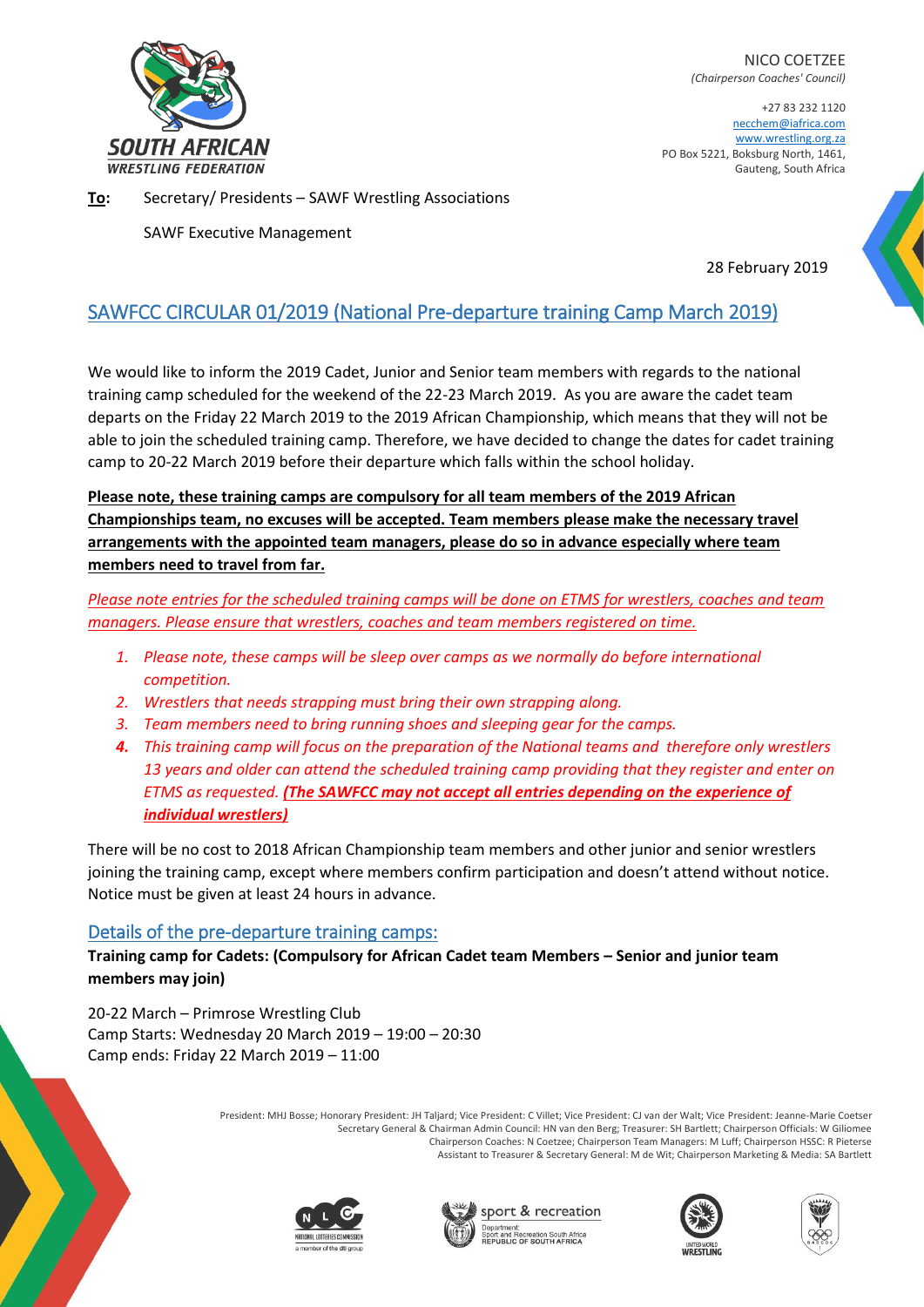

NICO COETZEE *(Chairperson Coaches' Council)*

+27 83 232 1120 necchem@iafrica.com [www.wrestling.org.za](http://www.wrestling.org.za/) PO Box 5221, Boksburg North, 1461, Gauteng, South Africa

**To:** Secretary/ Presidents – SAWF Wrestling Associations

SAWF Executive Management

28 February 2019

## SAWFCC CIRCULAR 01/2019 (National Pre-departure training Camp March 2019)

We would like to inform the 2019 Cadet, Junior and Senior team members with regards to the national training camp scheduled for the weekend of the 22-23 March 2019. As you are aware the cadet team departs on the Friday 22 March 2019 to the 2019 African Championship, which means that they will not be able to join the scheduled training camp. Therefore, we have decided to change the dates for cadet training camp to 20-22 March 2019 before their departure which falls within the school holiday.

**Please note, these training camps are compulsory for all team members of the 2019 African Championships team, no excuses will be accepted. Team members please make the necessary travel arrangements with the appointed team managers, please do so in advance especially where team members need to travel from far.**

*Please note entries for the scheduled training camps will be done on ETMS for wrestlers, coaches and team managers. Please ensure that wrestlers, coaches and team members registered on time.*

- *1. Please note, these camps will be sleep over camps as we normally do before international competition.*
- *2. Wrestlers that needs strapping must bring their own strapping along.*
- *3. Team members need to bring running shoes and sleeping gear for the camps.*
- *4. This training camp will focus on the preparation of the National teams and therefore only wrestlers 13 years and older can attend the scheduled training camp providing that they register and enter on ETMS as requested. (The SAWFCC may not accept all entries depending on the experience of individual wrestlers)*

There will be no cost to 2018 African Championship team members and other junior and senior wrestlers joining the training camp, except where members confirm participation and doesn't attend without notice. Notice must be given at least 24 hours in advance.

## Details of the pre-departure training camps:

**Training camp for Cadets: (Compulsory for African Cadet team Members – Senior and junior team members may join)**

20-22 March – Primrose Wrestling Club Camp Starts: Wednesday 20 March 2019 – 19:00 – 20:30 Camp ends: Friday 22 March 2019 – 11:00

> President: MHJ Bosse; Honorary President: JH Taljard; Vice President: C Villet; Vice President: CJ van der Walt; Vice President: Jeanne-Marie Coetser Secretary General & Chairman Admin Council: HN van den Berg; Treasurer: SH Bartlett; Chairperson Officials: W Giliomee Chairperson Coaches: N Coetzee; Chairperson Team Managers: M Luff; Chairperson HSSC: R Pieterse Assistant to Treasurer & Secretary General: M de Wit; Chairperson Marketing & Media: SA Bartlett